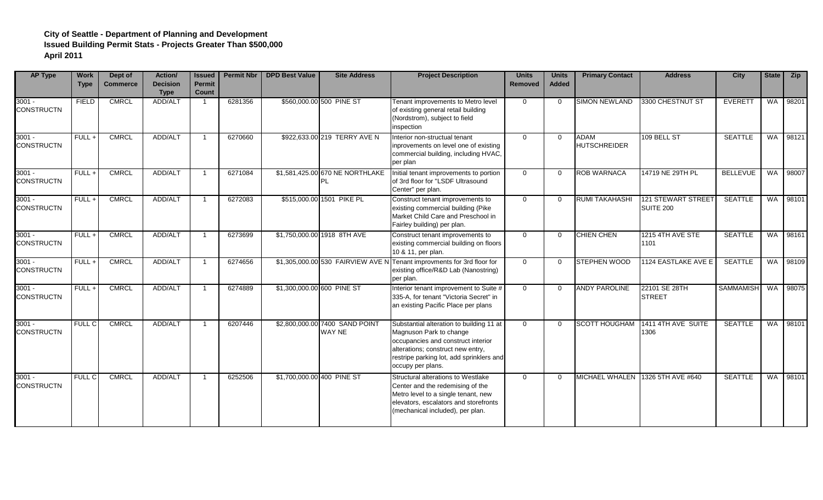| <b>AP Type</b>                | <b>Work</b><br><b>Type</b> | Dept of<br><b>Commerce</b> | Action/<br><b>Decision</b><br><b>Type</b> | <b>Issued</b><br><b>Permit</b><br><b>Count</b> | <b>Permit Nbr</b> | <b>DPD Best Value</b>      | <b>Site Address</b>                             | <b>Project Description</b>                                                                                                                                                                                      | <b>Units</b><br>Removed | <b>Units</b><br><b>Added</b> | <b>Primary Contact</b>             | <b>Address</b>                         | <b>City</b>      |           | State <b>Zip</b> |
|-------------------------------|----------------------------|----------------------------|-------------------------------------------|------------------------------------------------|-------------------|----------------------------|-------------------------------------------------|-----------------------------------------------------------------------------------------------------------------------------------------------------------------------------------------------------------------|-------------------------|------------------------------|------------------------------------|----------------------------------------|------------------|-----------|------------------|
| $3001 -$<br><b>CONSTRUCTN</b> | <b>FIELD</b>               | <b>CMRCL</b>               | ADD/ALT                                   |                                                | 6281356           |                            | \$560,000.00 500 PINE ST                        | Tenant improvements to Metro level<br>of existing general retail building<br>(Nordstrom), subject to field<br>inspection                                                                                        | $\Omega$                | $\Omega$                     | <b>SIMON NEWLAND</b>               | 3300 CHESTNUT ST                       | EVERETT          | <b>WA</b> | 98201            |
| $3001 -$<br><b>CONSTRUCTN</b> | FULL+                      | <b>CMRCL</b>               | ADD/ALT                                   |                                                | 6270660           |                            | \$922,633.00 219 TERRY AVE N                    | Interior non-structual tenant<br>inprovements on level one of existing<br>commercial building, including HVAC,<br>per plan                                                                                      | $\Omega$                | $\Omega$                     | <b>ADAM</b><br><b>HUTSCHREIDER</b> | 109 BELL ST                            | <b>SEATTLE</b>   | <b>WA</b> | 98121            |
| $3001 -$<br><b>CONSTRUCTN</b> | $FULL +$                   | <b>CMRCL</b>               | ADD/ALT                                   |                                                | 6271084           |                            | \$1,581,425.00 670 NE NORTHLAKE<br>PL           | Initial tenant improvements to portion<br>of 3rd floor for "LSDF Ultrasound<br>Center" per plan.                                                                                                                | $\Omega$                | $\Omega$                     | <b>ROB WARNACA</b>                 | 14719 NE 29TH PL                       | <b>BELLEVUE</b>  | <b>WA</b> | 98007            |
| $3001 -$<br><b>CONSTRUCTN</b> | $FULL +$                   | <b>CMRCL</b>               | ADD/ALT                                   |                                                | 6272083           |                            | \$515,000.00 1501 PIKE PL                       | Construct tenant improvements to<br>existing commercial building (Pike<br>Market Child Care and Preschool in<br>Fairley building) per plan.                                                                     | $\Omega$                | $\Omega$                     | <b>RUMI TAKAHASHI</b>              | 121 STEWART STREET<br><b>SUITE 200</b> | <b>SEATTLE</b>   | WA I      | 98101            |
| $3001 -$<br><b>CONSTRUCTN</b> | $FULL +$                   | <b>CMRCL</b>               | ADD/ALT                                   |                                                | 6273699           |                            | \$1,750,000.00 1918 8TH AVE                     | Construct tenant improvements to<br>existing commercial building on floors<br>10 & 11, per plan.                                                                                                                | $\Omega$                | $\Omega$                     | <b>CHIEN CHEN</b>                  | 1215 4TH AVE STE<br>1101               | <b>SEATTLE</b>   | <b>WA</b> | 98161            |
| $3001 -$<br><b>CONSTRUCTN</b> | $FULL +$                   | <b>CMRCL</b>               | ADD/ALT                                   |                                                | 6274656           |                            |                                                 | \$1,305,000.00 530 FAIRVIEW AVE N Tenant improvments for 3rd floor for<br>existing office/R&D Lab (Nanostring)<br>per plan.                                                                                     | $\overline{0}$          | $\Omega$                     | <b>STEPHEN WOOD</b>                | 1124 EASTLAKE AVE E                    | <b>SEATTLE</b>   | WA I      | 98109            |
| $3001 -$<br><b>CONSTRUCTN</b> | $FULL +$                   | <b>CMRCL</b>               | ADD/ALT                                   |                                                | 6274889           | \$1,300,000.00 600 PINE ST |                                                 | Interior tenant improvement to Suite #<br>335-A, for tenant "Victoria Secret" in<br>an existing Pacific Place per plans                                                                                         | $\Omega$                | $\Omega$                     | <b>ANDY PAROLINE</b>               | 22101 SE 28TH<br><b>STREET</b>         | <b>SAMMAMISH</b> | WA        | 98075            |
| $3001 -$<br><b>CONSTRUCTN</b> | <b>FULL C</b>              | <b>CMRCL</b>               | ADD/ALT                                   |                                                | 6207446           |                            | \$2,800,000.00 7400 SAND POINT<br><b>WAY NE</b> | Substantial alteration to building 11 at<br>Magnuson Park to change<br>occupancies and construct interior<br>alterations; construct new entry,<br>restripe parking lot, add sprinklers and<br>occupy per plans. | $\overline{0}$          | $\Omega$                     | <b>SCOTT HOUGHAM</b>               | 1411 4TH AVE SUITE<br>1306             | <b>SEATTLE</b>   | WA        | 98101            |
| $3001 -$<br><b>CONSTRUCTN</b> | <b>FULL C</b>              | <b>CMRCL</b>               | ADD/ALT                                   |                                                | 6252506           | \$1,700,000.00 400 PINE ST |                                                 | Structural alterations to Westlake<br>Center and the redemising of the<br>Metro level to a single tenant, new<br>elevators, escalators and storefronts<br>(mechanical included), per plan.                      | $\Omega$                | $\Omega$                     | MICHAEL WHALEN 1326 5TH AVE #640   |                                        | <b>SEATTLE</b>   |           | WA 98101         |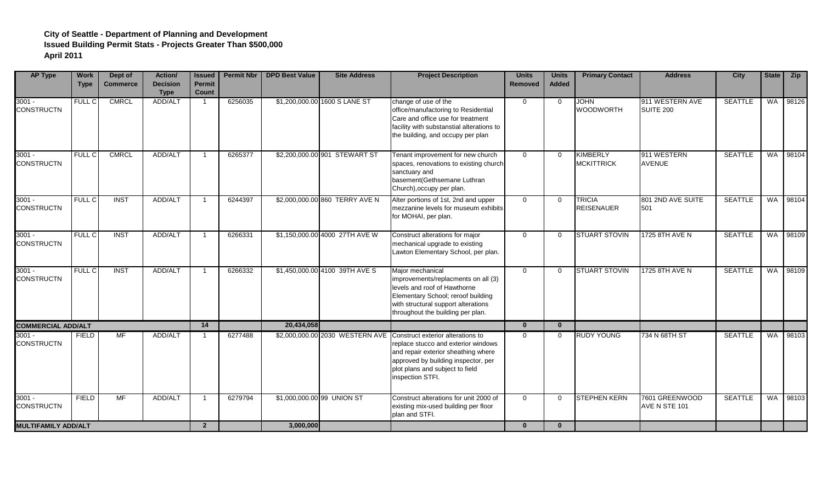| <b>AP Type</b>                | <b>Work</b><br><b>Type</b> | Dept of<br><b>Commerce</b> | Action/<br><b>Decision</b><br><b>Type</b> | <b>Issued</b><br><b>Permit</b><br><b>Count</b> | <b>Permit Nbr</b> | <b>DPD Best Value</b>      | <b>Site Address</b>            | <b>Project Description</b>                                                                                                                                                                                                                    | <b>Units</b><br><b>Removed</b> | <b>Units</b><br><b>Added</b> | <b>Primary Contact</b>               | <b>Address</b>                      | <b>City</b>    |           | State <b>Zip</b> |
|-------------------------------|----------------------------|----------------------------|-------------------------------------------|------------------------------------------------|-------------------|----------------------------|--------------------------------|-----------------------------------------------------------------------------------------------------------------------------------------------------------------------------------------------------------------------------------------------|--------------------------------|------------------------------|--------------------------------------|-------------------------------------|----------------|-----------|------------------|
| $3001 -$<br><b>CONSTRUCTN</b> | <b>FULL C</b>              | <b>CMRCL</b>               | ADD/ALT                                   |                                                | 6256035           |                            | \$1,200,000.00 1600 S LANE ST  | change of use of the<br>office/manufactoring to Residential<br>Care and office use for treatment<br>facility with substanstial alterations to<br>the building, and occupy per plan                                                            | 0                              | $\Omega$                     | <b>JOHN</b><br><b>WOODWORTH</b>      | 911 WESTERN AVE<br><b>SUITE 200</b> | <b>SEATTLE</b> | <b>WA</b> | 98126            |
| $3001 -$<br><b>CONSTRUCTN</b> | FULL C                     | <b>CMRCL</b>               | ADD/ALT                                   |                                                | 6265377           |                            | \$2,200,000.00 901 STEWART ST  | Tenant improvement for new church<br>spaces, renovations to existing church<br>sanctuary and<br>basement(Gethsemane Luthran<br>Church), occupy per plan.                                                                                      | $\overline{0}$                 | $\Omega$                     | <b>KIMBERLY</b><br><b>MCKITTRICK</b> | 911 WESTERN<br><b>AVENUE</b>        | <b>SEATTLE</b> | WA        | 98104            |
| $3001 -$<br><b>CONSTRUCTN</b> | <b>FULL C</b>              | <b>INST</b>                | ADD/ALT                                   |                                                | 6244397           |                            | \$2,000,000.00 860 TERRY AVE N | Alter portions of 1st, 2nd and upper<br>mezzanine levels for museum exhibits<br>for MOHAI, per plan.                                                                                                                                          | $\overline{0}$                 | $\Omega$                     | <b>TRICIA</b><br><b>REISENAUER</b>   | 801 2ND AVE SUITE<br>501            | <b>SEATTLE</b> | <b>WA</b> | 98104            |
| $3001 -$<br><b>CONSTRUCTN</b> | FULL C                     | <b>INST</b>                | ADD/ALT                                   |                                                | 6266331           |                            | \$1,150,000.00 4000 27TH AVE W | Construct alterations for major<br>mechanical upgrade to existing<br>Lawton Elementary School, per plan.                                                                                                                                      | $\Omega$                       | $\Omega$                     | <b>STUART STOVIN</b>                 | 1725 8TH AVE N                      | <b>SEATTLE</b> | <b>WA</b> | 98109            |
| $3001 -$<br><b>CONSTRUCTN</b> | FULL C                     | <b>INST</b>                | ADD/ALT                                   |                                                | 6266332           |                            | \$1,450,000.00 4100 39TH AVE S | Major mechanical<br>improvements/replacments on all (3)<br>levels and roof of Hawthorne<br>Elementary School; reroof building<br>with structural support alterations<br>throughout the building per plan.                                     | $\overline{0}$                 | $\Omega$                     | <b>STUART STOVIN</b>                 | 1725 8TH AVE N                      | <b>SEATTLE</b> |           | WA 98109         |
| <b>COMMERCIAL ADD/ALT</b>     |                            |                            |                                           | 14                                             |                   | 20,434,058                 |                                |                                                                                                                                                                                                                                               | $\mathbf{0}$                   | $\mathbf{0}$                 |                                      |                                     |                |           |                  |
| $3001 -$<br><b>CONSTRUCTN</b> | <b>FIELD</b>               | MF                         | ADD/ALT                                   |                                                | 6277488           |                            |                                | \$2,000,000.00 2030 WESTERN AVE Construct exterior alterations to<br>replace stucco and exterior windows<br>and repair exterior sheathing where<br>approved by building inspector, per<br>plot plans and subject to field<br>inspection STFI. | $\overline{0}$                 | $\Omega$                     | <b>RUDY YOUNG</b>                    | 734 N 68TH ST                       | <b>SEATTLE</b> | <b>WA</b> | 98103            |
| $3001 -$<br><b>CONSTRUCTN</b> | <b>FIELD</b>               | <b>MF</b>                  | ADD/ALT                                   |                                                | 6279794           | \$1,000,000.00 99 UNION ST |                                | Construct alterations for unit 2000 of<br>existing mix-used building per floor<br>plan and STFI.                                                                                                                                              | $\overline{0}$                 | $\Omega$                     | <b>STEPHEN KERN</b>                  | 7601 GREENWOOD<br>AVE N STE 101     | <b>SEATTLE</b> | <b>WA</b> | 98103            |
| <b>MULTIFAMILY ADD/ALT</b>    |                            |                            |                                           | $2^{\circ}$                                    |                   | 3,000,000                  |                                |                                                                                                                                                                                                                                               | $\mathbf{0}$                   | $\mathbf{0}$                 |                                      |                                     |                |           |                  |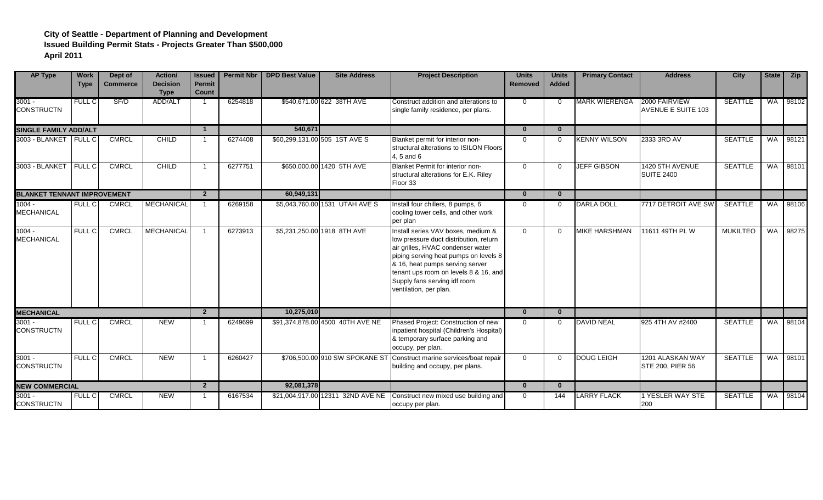| <b>AP Type</b>                     | <b>Work</b><br><b>Type</b> | Dept of<br><b>Commerce</b> | <b>Action/</b><br><b>Decision</b><br><b>Type</b> | <b>Issued</b><br>Permit<br><b>Count</b> | <b>Permit Nbr</b> | <b>DPD Best Value</b> | <b>Site Address</b>               | <b>Project Description</b>                                                                                                                                                                                                                                                                       | <b>Units</b><br><b>Removed</b> | <b>Units</b><br><b>Added</b> | <b>Primary Contact</b> | <b>Address</b>                             | <b>City</b>     |    | State <b>Zip</b> |
|------------------------------------|----------------------------|----------------------------|--------------------------------------------------|-----------------------------------------|-------------------|-----------------------|-----------------------------------|--------------------------------------------------------------------------------------------------------------------------------------------------------------------------------------------------------------------------------------------------------------------------------------------------|--------------------------------|------------------------------|------------------------|--------------------------------------------|-----------------|----|------------------|
| $3001 -$<br><b>CONSTRUCTN</b>      | <b>FULL C</b>              | SF/D                       | ADD/ALT                                          |                                         | 6254818           |                       | \$540,671.00 622 38TH AVE         | Construct addition and alterations to<br>single family residence, per plans.                                                                                                                                                                                                                     | $\overline{0}$                 | $\Omega$                     | <b>MARK WIERENGA</b>   | 2000 FAIRVIEW<br><b>AVENUE E SUITE 103</b> | <b>SEATTLE</b>  |    | WA 98102         |
| <b>SINGLE FAMILY ADD/ALT</b>       |                            |                            |                                                  | $\mathbf 1$                             |                   | 540.671               |                                   |                                                                                                                                                                                                                                                                                                  | $\bf{0}$                       | $\mathbf{0}$                 |                        |                                            |                 |    |                  |
| 3003 - BLANKET                     | <b>FULL C</b>              | <b>CMRCL</b>               | CHILD                                            |                                         | 6274408           |                       | \$60,299,131.00 505 1ST AVE S     | Blanket permit for interior non-<br>structural alterations to ISILON Floors<br>4, 5 and 6                                                                                                                                                                                                        | $\Omega$                       | $\Omega$                     | <b>KENNY WILSON</b>    | 2333 3RD AV                                | <b>SEATTLE</b>  |    | WA 98121         |
| 3003 - BLANKET                     | <b>FULL C</b>              | <b>CMRCL</b>               | <b>CHILD</b>                                     |                                         | 6277751           |                       | \$650,000.00 1420 5TH AVE         | Blanket Permit for interior non-<br>structural alterations for E.K. Riley<br>Floor 33                                                                                                                                                                                                            | $\mathbf 0$                    | $\Omega$                     | <b>JEFF GIBSON</b>     | 1420 5TH AVENUE<br><b>SUITE 2400</b>       | <b>SEATTLE</b>  | WA | 98101            |
| <b>BLANKET TENNANT IMPROVEMENT</b> |                            |                            |                                                  | $2^{\circ}$                             |                   | 60,949,131            |                                   |                                                                                                                                                                                                                                                                                                  | $\mathbf{0}$                   | $\bf{0}$                     |                        |                                            |                 |    |                  |
| $1004 -$<br><b>MECHANICAL</b>      | <b>FULL C</b>              | <b>CMRCL</b>               | <b>MECHANICAL</b>                                |                                         | 6269158           |                       | \$5,043,760.00 1531 UTAH AVE S    | Install four chillers, 8 pumps, 6<br>cooling tower cells, and other work<br>per plan                                                                                                                                                                                                             | $\Omega$                       | $\Omega$                     | <b>DARLA DOLL</b>      | 7717 DETROIT AVE SW                        | <b>SEATTLE</b>  |    | WA 98106         |
| $1004 -$<br><b>MECHANICAL</b>      | FULL C                     | <b>CMRCL</b>               | <b>MECHANICAL</b>                                |                                         | 6273913           |                       | \$5,231,250.00 1918 8TH AVE       | Install series VAV boxes, medium &<br>low pressure duct distribution, return<br>air grilles, HVAC condenser water<br>piping serving heat pumps on levels 8<br>& 16, heat pumps serving server<br>tenant ups room on levels 8 & 16, and<br>Supply fans serving idf room<br>ventilation, per plan. | $\mathbf 0$                    | $\Omega$                     | <b>MIKE HARSHMAN</b>   | 11611 49TH PL W                            | <b>MUKILTEO</b> | WA | 98275            |
| <b>MECHANICAL</b>                  |                            |                            |                                                  | $\overline{2}$                          |                   | 10,275,010            |                                   |                                                                                                                                                                                                                                                                                                  | $\bf{0}$                       | $\bf{0}$                     |                        |                                            |                 |    |                  |
| $3001 -$<br><b>CONSTRUCTN</b>      | <b>FULL C</b>              | <b>CMRCL</b>               | <b>NEW</b>                                       |                                         | 6249699           |                       | \$91,374,878.00 4500 40TH AVE NE  | Phased Project: Construction of new<br>inpatient hospital (Children's Hospital)<br>& temporary surface parking and<br>occupy, per plan.                                                                                                                                                          | $\Omega$                       | $\Omega$                     | <b>DAVID NEAL</b>      | 925 4TH AV #2400                           | <b>SEATTLE</b>  |    | WA 98104         |
| $3001 -$<br><b>CONSTRUCTN</b>      | <b>FULL C</b>              | <b>CMRCL</b>               | <b>NEW</b>                                       |                                         | 6260427           |                       | \$706,500,00 910 SW SPOKANE ST    | Construct marine services/boat repair<br>building and occupy, per plans.                                                                                                                                                                                                                         | $\overline{0}$                 | $\Omega$                     | <b>DOUG LEIGH</b>      | 1201 ALASKAN WAY<br>STE 200, PIER 56       | <b>SEATTLE</b>  |    | WA 98101         |
| <b>NEW COMMERCIAL</b>              |                            |                            |                                                  | $2^{\circ}$                             |                   | 92,081,378            |                                   |                                                                                                                                                                                                                                                                                                  | $\mathbf{0}$                   | $\mathbf{0}$                 |                        |                                            |                 |    |                  |
| $3001 -$<br><b>CONSTRUCTN</b>      | <b>FULL C</b>              | <b>CMRCL</b>               | <b>NEW</b>                                       |                                         | 6167534           |                       | \$21,004,917.00 12311 32ND AVE NE | Construct new mixed use building and<br>occupy per plan.                                                                                                                                                                                                                                         | $\mathbf{0}$                   | 144                          | <b>LARRY FLACK</b>     | <b>1 YESLER WAY STE</b><br>200             | <b>SEATTLE</b>  |    | WA 98104         |